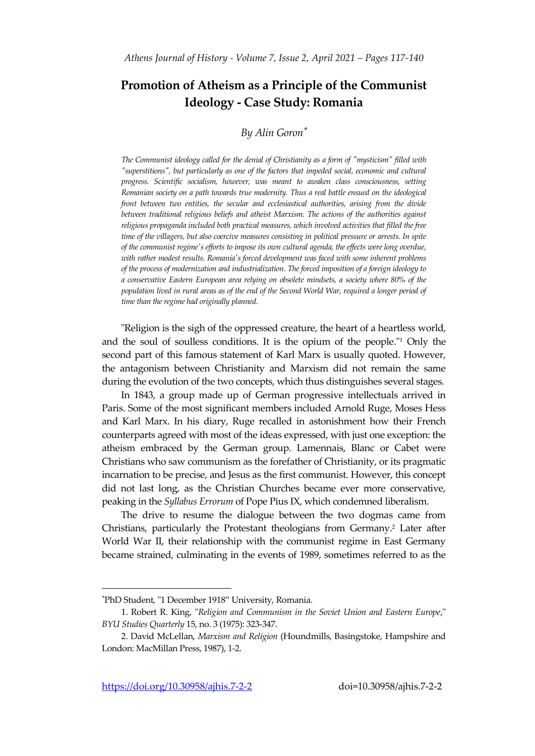# **Promotion of Atheism as a Principle of the Communist Ideology - Case Study: Romania**

## *By Alin Goron*

*The Communist ideology called for the denial of Christianity as a form of "mysticism" filled with "superstitions", but particularly as one of the factors that impeded social, economic and cultural progress. Scientific socialism, however, was meant to awaken class consciousness, setting Romanian society on a path towards true modernity. Thus a real battle ensued on the ideological front between two entities, the secular and ecclesiastical authorities, arising from the divide between traditional religious beliefs and atheist Marxism. The actions of the authorities against religious propaganda included both practical measures, which involved activities that filled the free time of the villagers, but also coercive measures consisting in political pressure or arrests. In spite of the communist regime's efforts to impose its own cultural agenda, the effects were long overdue, with rather modest results. Romania's forced development was faced with some inherent problems of the process of modernization and industrialization. The forced imposition of a foreign ideology to a conservative Eastern European area relying on obsolete mindsets, a society where 80% of the population lived in rural areas as of the end of the Second World War, required a longer period of time than the regime had originally planned.* 

"Religion is the sigh of the oppressed creature, the heart of a heartless world, and the soul of soulless conditions. It is the opium of the people." <sup>1</sup> Only the second part of this famous statement of Karl Marx is usually quoted. However, the antagonism between Christianity and Marxism did not remain the same during the evolution of the two concepts, which thus distinguishes several stages.

In 1843, a group made up of German progressive intellectuals arrived in Paris. Some of the most significant members included Arnold Ruge, Moses Hess and Karl Marx. In his diary, Ruge recalled in astonishment how their French counterparts agreed with most of the ideas expressed, with just one exception: the atheism embraced by the German group. Lamennais, Blanc or Cabet were Christians who saw communism as the forefather of Christianity, or its pragmatic incarnation to be precise, and Jesus as the first communist. However, this concept did not last long, as the Christian Churches became ever more conservative, peaking in the *Syllabus Errorum* of Pope Pius IX, which condemned liberalism.

The drive to resume the dialogue between the two dogmas came from Christians, particularly the Protestant theologians from Germany. <sup>2</sup> Later after World War II, their relationship with the communist regime in East Germany became strained, culminating in the events of 1989, sometimes referred to as the

PhD Student, "1 December 1918" University, Romania.

<sup>1.</sup> Robert R. King, "*Religion and Communism in the Soviet Union and Eastern Europe*," *BYU Studies Quarterly* 15, no. 3 (1975): 323-347.

<sup>2.</sup> David McLellan, *Marxism and Religion* (Houndmills, Basingstoke, Hampshire and London: MacMillan Press, 1987), 1-2.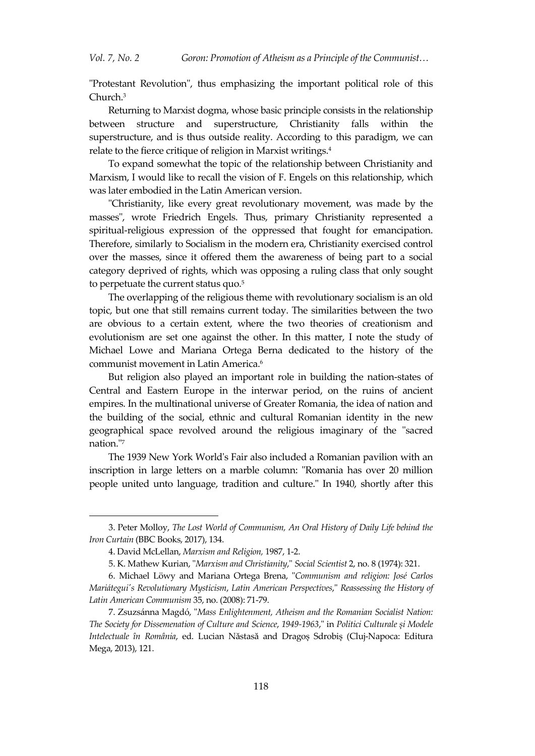"Protestant Revolution", thus emphasizing the important political role of this Church. 3

Returning to Marxist dogma, whose basic principle consists in the relationship between structure and superstructure, Christianity falls within the superstructure, and is thus outside reality. According to this paradigm, we can relate to the fierce critique of religion in Marxist writings. 4

To expand somewhat the topic of the relationship between Christianity and Marxism, I would like to recall the vision of F. Engels on this relationship, which was later embodied in the Latin American version.

"Christianity, like every great revolutionary movement, was made by the masses", wrote Friedrich Engels. Thus, primary Christianity represented a spiritual-religious expression of the oppressed that fought for emancipation. Therefore, similarly to Socialism in the modern era, Christianity exercised control over the masses, since it offered them the awareness of being part to a social category deprived of rights, which was opposing a ruling class that only sought to perpetuate the current status quo.<sup>5</sup>

The overlapping of the religious theme with revolutionary socialism is an old topic, but one that still remains current today. The similarities between the two are obvious to a certain extent, where the two theories of creationism and evolutionism are set one against the other. In this matter, I note the study of Michael Lowe and Mariana Ortega Berna dedicated to the history of the communist movement in Latin America. 6

But religion also played an important role in building the nation-states of Central and Eastern Europe in the interwar period, on the ruins of ancient empires. In the multinational universe of Greater Romania, the idea of nation and the building of the social, ethnic and cultural Romanian identity in the new geographical space revolved around the religious imaginary of the "sacred nation."<sup>7</sup>

The 1939 New York World's Fair also included a Romanian pavilion with an inscription in large letters on a marble column: "Romania has over 20 million people united unto language, tradition and culture." In 1940, shortly after this

<sup>3.</sup> Peter Molloy, *The Lost World of Communism, An Oral History of Daily Life behind the Iron Curtain* (BBC Books, 2017), 134.

<sup>4.</sup> David McLellan, *Marxism and Religion,* 1987, 1-2.

<sup>5.</sup> K. Mathew Kurian, "*Marxism and Christianity*," *Social Scientist* 2, no. 8 (1974): 321.

<sup>6.</sup> Michael Löwy and Mariana Ortega Brena, "*Communism and religion: José Carlos Mariátegui's Revolutionary Mysticism*, *Latin American Perspectives*," *Reassessing the History of Latin American Communism* 35, no. (2008): 71-79.

<sup>7.</sup> Zsuzsánna Magdó, "*Mass Enlightenment, Atheism and the Romanian Socialist Nation: The Society for Dissemenation of Culture and Science*, *1949-1963*," in *Politici Culturale și Modele Intelectuale în România*, ed. Lucian Năstasă and Dragoș Sdrobiș (Cluj-Napoca: Editura Mega, 2013), 121.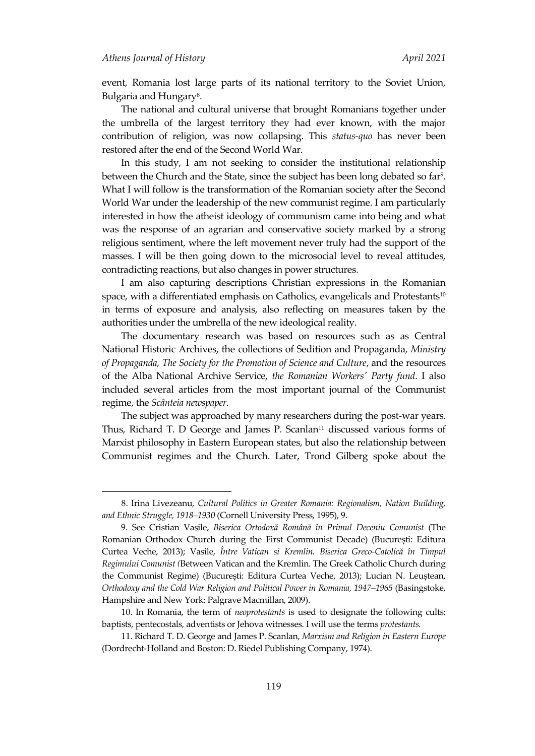$\overline{a}$ 

event, Romania lost large parts of its national territory to the Soviet Union, Bulgaria and Hungary<sup>8</sup>.

The national and cultural universe that brought Romanians together under the umbrella of the largest territory they had ever known, with the major contribution of religion, was now collapsing. This *status-quo* has never been restored after the end of the Second World War.

In this study, I am not seeking to consider the institutional relationship between the Church and the State, since the subject has been long debated so far<sup>9</sup>. What I will follow is the transformation of the Romanian society after the Second World War under the leadership of the new communist regime. I am particularly interested in how the atheist ideology of communism came into being and what was the response of an agrarian and conservative society marked by a strong religious sentiment, where the left movement never truly had the support of the masses. I will be then going down to the microsocial level to reveal attitudes, contradicting reactions, but also changes in power structures.

I am also capturing descriptions Christian expressions in the Romanian space, with a differentiated emphasis on Catholics, evangelicals and Protestants<sup>10</sup> in terms of exposure and analysis, also reflecting on measures taken by the authorities under the umbrella of the new ideological reality.

The documentary research was based on resources such as as Central National Historic Archives, the collections of Sedition and Propaganda*, Ministry of Propaganda, The Society for the Promotion of Science and Culture*, and the resources of the Alba National Archive Service, *the Romanian Workers' Party fund*. I also included several articles from the most important journal of the Communist regime, the *Scânteia newspaper.*

The subject was approached by many researchers during the post-war years. Thus, Richard T. D George and James P. Scanlan<sup>11</sup> discussed various forms of Marxist philosophy in Eastern European states, but also the relationship between Communist regimes and the Church. Later, Trond Gilberg spoke about the

<sup>8.</sup> Irina Livezeanu, *Cultural Politics in Greater Romania: Regionalism, Nation Building, and Ethnic Struggle, 1918–1930* (Cornell University Press, 1995), 9.

<sup>9.</sup> See Cristian Vasile, *Biserica Ortodoxă Română în Primul Deceniu Comunist* (The Romanian Orthodox Church during the First Communist Decade) (București: Editura Curtea Veche, 2013); Vasile, *Între Vatican si Kremlin. Biserica Greco-Catolică în Timpul Regimului Comunist (*Between Vatican and the Kremlin. The Greek Catholic Church during the Communist Regime) (București: Editura Curtea Veche, 2013); Lucian N. Leuștean, *Orthodoxy and the Cold War Religion and Political Power in Romania, 1947–1965* (Basingstoke, Hampshire and New York: Palgrave Macmillan, 2009).

<sup>10.</sup> In Romania, the term of *neoprotestants* is used to designate the following cults: baptists, pentecostals, adventists or Jehova witnesses. I will use the terms *protestants.*

<sup>11.</sup> Richard T. D. George and James P. Scanlan, *Marxism and Religion in Eastern Europe* (Dordrecht-Holland and Boston: D. Riedel Publishing Company, 1974).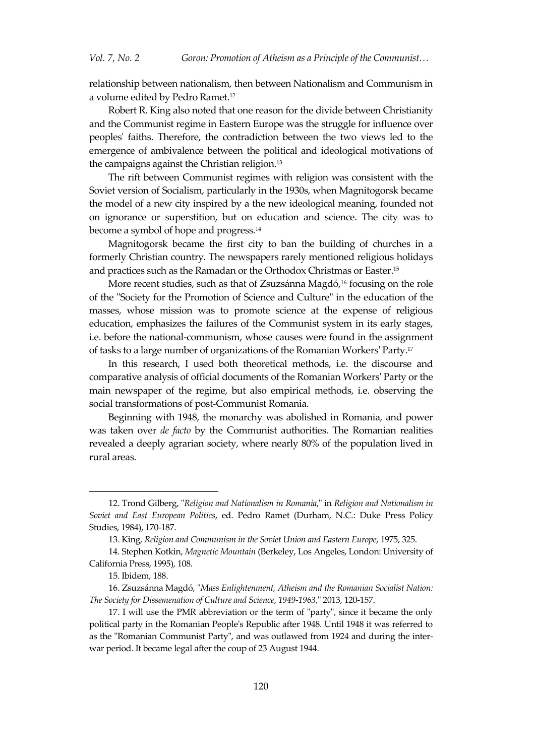relationship between nationalism, then between Nationalism and Communism in a volume edited by Pedro Ramet. 12

Robert R. King also noted that one reason for the divide between Christianity and the Communist regime in Eastern Europe was the struggle for influence over peoples' faiths. Therefore, the contradiction between the two views led to the emergence of ambivalence between the political and ideological motivations of the campaigns against the Christian religion. 13

The rift between Communist regimes with religion was consistent with the Soviet version of Socialism, particularly in the 1930s, when Magnitogorsk became the model of a new city inspired by a the new ideological meaning, founded not on ignorance or superstition, but on education and science. The city was to become a symbol of hope and progress. 14

Magnitogorsk became the first city to ban the building of churches in a formerly Christian country. The newspapers rarely mentioned religious holidays and practices such as the Ramadan or the Orthodox Christmas or Easter. 15

More recent studies, such as that of Zsuzsánna Magdó, <sup>16</sup> focusing on the role of the "Society for the Promotion of Science and Culture" in the education of the masses, whose mission was to promote science at the expense of religious education, emphasizes the failures of the Communist system in its early stages, i.e. before the national-communism, whose causes were found in the assignment of tasks to a large number of organizations of the Romanian Workers' Party. 17

In this research, I used both theoretical methods, i.e. the discourse and comparative analysis of official documents of the Romanian Workers' Party or the main newspaper of the regime, but also empirical methods, i.e. observing the social transformations of post-Communist Romania.

Beginning with 1948, the monarchy was abolished in Romania, and power was taken over *de facto* by the Communist authorities. The Romanian realities revealed a deeply agrarian society, where nearly 80% of the population lived in rural areas.

<sup>12.</sup> Trond Gilberg, "*Religion and Nationalism in Romania*," in *Religion and Nationalism in Soviet and East European Politics*, ed. Pedro Ramet (Durham, N.C.: Duke Press Policy Studies, 1984), 170-187.

<sup>13.</sup> King, *Religion and Communism in the Soviet Union and Eastern Europe*, 1975, 325.

<sup>14.</sup> Stephen Kotkin, *Magnetic Mountain* (Berkeley, Los Angeles, London: University of California Press, 1995), 108.

<sup>15</sup>*.* Ibidem, 188.

<sup>16.</sup> Zsuzsánna Magdó, "*Mass Enlightenment, Atheism and the Romanian Socialist Nation: The Society for Dissemenation of Culture and Science*, *1949-1963*," 2013, 120-157.

<sup>17.</sup> I will use the PMR abbreviation or the term of "party", since it became the only political party in the Romanian People's Republic after 1948. Until 1948 it was referred to as the "Romanian Communist Party", and was outlawed from 1924 and during the interwar period. It became legal after the coup of 23 August 1944.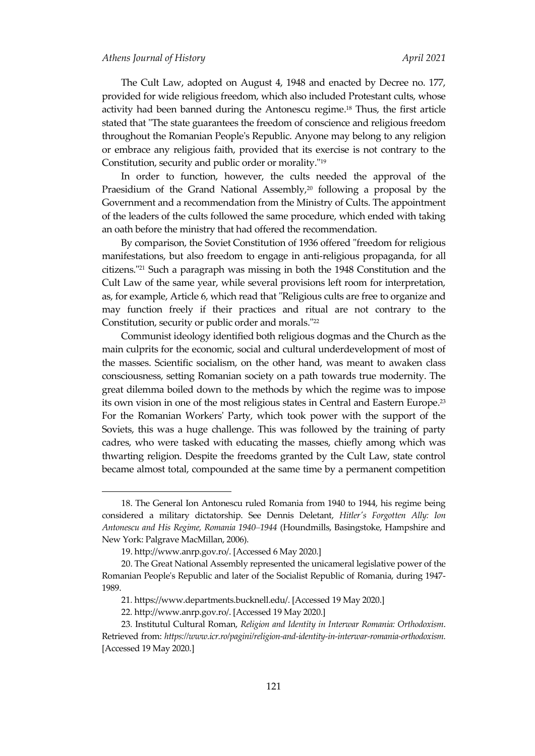#### *Athens Journal of History April 2021*

The Cult Law, adopted on August 4, 1948 and enacted by Decree no. 177, provided for wide religious freedom, which also included Protestant cults, whose activity had been banned during the Antonescu regime. <sup>18</sup> Thus, the first article stated that "The state guarantees the freedom of conscience and religious freedom throughout the Romanian People's Republic. Anyone may belong to any religion or embrace any religious faith, provided that its exercise is not contrary to the Constitution, security and public order or morality." 19

In order to function, however, the cults needed the approval of the Praesidium of the Grand National Assembly, <sup>20</sup> following a proposal by the Government and a recommendation from the Ministry of Cults. The appointment of the leaders of the cults followed the same procedure, which ended with taking an oath before the ministry that had offered the recommendation.

By comparison, the Soviet Constitution of 1936 offered "freedom for religious manifestations, but also freedom to engage in anti-religious propaganda, for all citizens." <sup>21</sup> Such a paragraph was missing in both the 1948 Constitution and the Cult Law of the same year, while several provisions left room for interpretation, as, for example, Article 6, which read that "Religious cults are free to organize and may function freely if their practices and ritual are not contrary to the Constitution, security or public order and morals." 22

Communist ideology identified both religious dogmas and the Church as the main culprits for the economic, social and cultural underdevelopment of most of the masses. Scientific socialism, on the other hand, was meant to awaken class consciousness, setting Romanian society on a path towards true modernity. The great dilemma boiled down to the methods by which the regime was to impose its own vision in one of the most religious states in Central and Eastern Europe. 23 For the Romanian Workers' Party, which took power with the support of the Soviets, this was a huge challenge. This was followed by the training of party cadres, who were tasked with educating the masses, chiefly among which was thwarting religion. Despite the freedoms granted by the Cult Law, state control became almost total, compounded at the same time by a permanent competition

<sup>18.</sup> The General Ion Antonescu ruled Romania from 1940 to 1944, his regime being considered a military dictatorship. See Dennis Deletant, *Hitler's Forgotten Ally: Ion Antonescu and His Regime, Romania 1940–1944* (Houndmills, Basingstoke, Hampshire and New York: Palgrave MacMillan, 2006).

<sup>19</sup>[. http://www.anrp.gov.ro/.](http://www.anrp.gov.ro/) [Accessed 6 May 2020.]

<sup>20.</sup> The Great National Assembly represented the unicameral legislative power of the Romanian People's Republic and later of the Socialist Republic of Romania, during 1947- 1989.

<sup>21</sup>*.* https://www.departments.bucknell.edu/. [Accessed 19 May 2020.]

<sup>22</sup>*.* http://www.anrp.gov.ro/. [Accessed 19 May 2020.]

<sup>23</sup>*.* Institutul Cultural Roman, *Religion and Identity in Interwar Romania: Orthodoxism*. Retrieved from: *[https://www.icr.ro/pagini/religion-and-identity-in-interwar-romania-orthodoxism.](https://www.icr.ro/pagini/religion-and-identity-in-interwar-romania-orthodoxism)* [Accessed 19 May 2020.]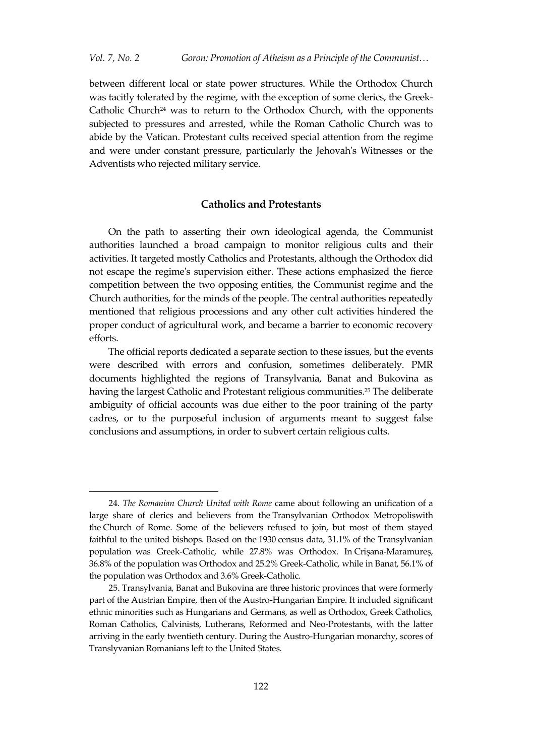between different local or state power structures. While the Orthodox Church was tacitly tolerated by the regime, with the exception of some clerics, the Greek-Catholic Church<sup>24</sup> was to return to the Orthodox Church, with the opponents subjected to pressures and arrested, while the Roman Catholic Church was to abide by the Vatican. Protestant cults received special attention from the regime and were under constant pressure, particularly the Jehovah's Witnesses or the Adventists who rejected military service.

## **Catholics and Protestants**

On the path to asserting their own ideological agenda, the Communist authorities launched a broad campaign to monitor religious cults and their activities. It targeted mostly Catholics and Protestants, although the Orthodox did not escape the regime's supervision either. These actions emphasized the fierce competition between the two opposing entities, the Communist regime and the Church authorities, for the minds of the people. The central authorities repeatedly mentioned that religious processions and any other cult activities hindered the proper conduct of agricultural work, and became a barrier to economic recovery efforts.

The official reports dedicated a separate section to these issues, but the events were described with errors and confusion, sometimes deliberately. PMR documents highlighted the regions of Transylvania, Banat and Bukovina as having the largest Catholic and Protestant religious communities. <sup>25</sup> The deliberate ambiguity of official accounts was due either to the poor training of the party cadres, or to the purposeful inclusion of arguments meant to suggest false conclusions and assumptions, in order to subvert certain religious cults.

<sup>24</sup>*. The Romanian Church United with Rome* came about following an unification of a large share of clerics and believers from the [Transylvanian Orthodox Metropolisw](https://ro.wikipedia.org/wiki/Mitropolia_Ardealului)ith the [Church of Rome.](https://ro.wikipedia.org/wiki/Biserica_catolic%C4%83) Some of the believers refused to join, but most of them stayed faithful to the united bishops. Based on the [1930](https://ro.wikipedia.org/wiki/1930) census data, 31.1% of the Transylvanian population was Greek-Catholic, while 27.8% was Orthodox. In [Crișana](https://ro.wikipedia.org/wiki/Cri%C8%99ana)-[Maramureș](https://ro.wikipedia.org/wiki/Maramure%C8%99), 36.8% of the population was Orthodox and 25.2% Greek-Catholic, while in [Banat,](https://ro.wikipedia.org/wiki/Banat) 56.1% of the population was Orthodox and 3.6% Greek-Catholic.

<sup>25.</sup> Transylvania, Banat and Bukovina are three historic provinces that were formerly part of the Austrian Empire, then of the Austro-Hungarian Empire. It included significant ethnic minorities such as Hungarians and Germans, as well as Orthodox, Greek Catholics, Roman Catholics, Calvinists, Lutherans, Reformed and Neo-Protestants, with the latter arriving in the early twentieth century. During the Austro-Hungarian monarchy, scores of Translyvanian Romanians left to the United States.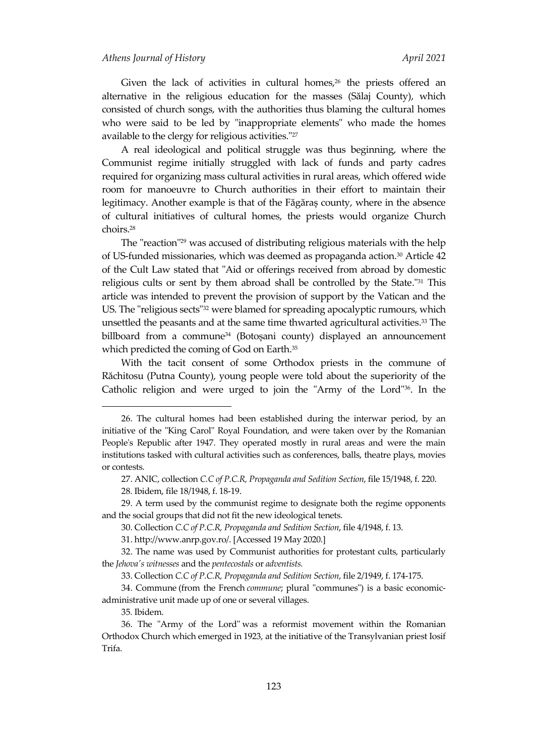Given the lack of activities in cultural homes, <sup>26</sup> the priests offered an alternative in the religious education for the masses (Sălaj County), which consisted of church songs, with the authorities thus blaming the cultural homes who were said to be led by "inappropriate elements" who made the homes available to the clergy for religious activities." 27

A real ideological and political struggle was thus beginning, where the Communist regime initially struggled with lack of funds and party cadres required for organizing mass cultural activities in rural areas, which offered wide room for manoeuvre to Church authorities in their effort to maintain their legitimacy. Another example is that of the Făgăraș county, where in the absence of cultural initiatives of cultural homes, the priests would organize Church choirs. 28

The "reaction"<sup>29</sup> was accused of distributing religious materials with the help of US-funded missionaries, which was deemed as propaganda action. <sup>30</sup> Article 42 of the Cult Law stated that "Aid or offerings received from abroad by domestic religious cults or sent by them abroad shall be controlled by the State." <sup>31</sup> This article was intended to prevent the provision of support by the Vatican and the US. The "religious sects"<sup>32</sup> were blamed for spreading apocalyptic rumours, which unsettled the peasants and at the same time thwarted agricultural activities. <sup>33</sup> The billboard from a commune<sup>34</sup> (Botoșani county) displayed an announcement which predicted the coming of God on Earth. 35

With the tacit consent of some Orthodox priests in the commune of Răchitosu (Putna County), young people were told about the superiority of the Catholic religion and were urged to join the "Army of the Lord"36. In the

<sup>26.</sup> The cultural homes had been established during the interwar period, by an initiative of the "King Carol" Royal Foundation, and were taken over by the Romanian People's Republic after 1947. They operated mostly in rural areas and were the main institutions tasked with cultural activities such as conferences, balls, theatre plays, movies or contests.

<sup>27.</sup> ANIC, collection *C.C of P.C.R, Propaganda and Sedition Section*, file 15/1948, f. 220.

<sup>28</sup>*.* Ibidem, file 18/1948, f. 18-19.

<sup>29.</sup> A term used by the communist regime to designate both the regime opponents and the social groups that did not fit the new ideological tenets.

<sup>30.</sup> Collection *C.C of P.C.R, Propaganda and Sedition Section*, file 4/1948, f. 13.

<sup>31</sup>[. http://www.anrp.gov.ro/.](http://www.anrp.gov.ro/) [Accessed 19 May 2020.]

<sup>32.</sup> The name was used by Communist authorities for protestant cults, particularly the *Jehova's witnesses* and the *pentecostals* or *adventists.*

<sup>33.</sup> Collection *C.C of P.C.R, Propaganda and Sedition Section*, file 2/1949, f. 174-175.

<sup>34.</sup> Commune (from the French *commune*; plural "communes") is a basic economicadministrative unit made up of one or several villages.

<sup>35</sup>*.* Ibidem.

<sup>36.</sup> The "Army of the Lord" was a reformist movement within the Romanian Orthodox Church which emerged in 1923, at the initiative of the Transylvanian priest Iosif Trifa.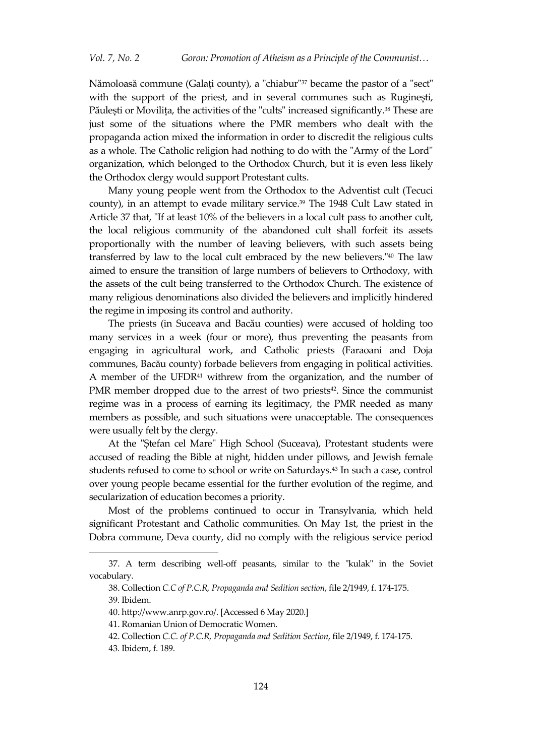Nămoloasă commune (Galați county), a "chiabur" <sup>37</sup> became the pastor of a "sect" with the support of the priest, and in several communes such as Ruginești, Păulești or Movilița, the activities of the "cults" increased significantly. <sup>38</sup> These are just some of the situations where the PMR members who dealt with the propaganda action mixed the information in order to discredit the religious cults as a whole. The Catholic religion had nothing to do with the "Army of the Lord" organization, which belonged to the Orthodox Church, but it is even less likely the Orthodox clergy would support Protestant cults.

Many young people went from the Orthodox to the Adventist cult (Tecuci county), in an attempt to evade military service. <sup>39</sup> The 1948 Cult Law stated in Article 37 that, "If at least 10% of the believers in a local cult pass to another cult, the local religious community of the abandoned cult shall forfeit its assets proportionally with the number of leaving believers, with such assets being transferred by law to the local cult embraced by the new believers." <sup>40</sup> The law aimed to ensure the transition of large numbers of believers to Orthodoxy, with the assets of the cult being transferred to the Orthodox Church. The existence of many religious denominations also divided the believers and implicitly hindered the regime in imposing its control and authority.

The priests (in Suceava and Bacău counties) were accused of holding too many services in a week (four or more), thus preventing the peasants from engaging in agricultural work, and Catholic priests (Faraoani and Doja communes, Bacău county) forbade believers from engaging in political activities. A member of the UFDR<sup>41</sup> withrew from the organization, and the number of PMR member dropped due to the arrest of two priests<sup>42</sup>. Since the communist regime was in a process of earning its legitimacy, the PMR needed as many members as possible, and such situations were unacceptable. The consequences were usually felt by the clergy.

At the "Ștefan cel Mare" High School (Suceava), Protestant students were accused of reading the Bible at night, hidden under pillows, and Jewish female students refused to come to school or write on Saturdays. <sup>43</sup> In such a case, control over young people became essential for the further evolution of the regime, and secularization of education becomes a priority.

Most of the problems continued to occur in Transylvania, which held significant Protestant and Catholic communities. On May 1st, the priest in the Dobra commune, Deva county, did no comply with the religious service period

<sup>37.</sup> A term describing well-off peasants, similar to the "kulak" in the Soviet vocabulary.

<sup>38.</sup> Collection *C.C of P.C.R, Propaganda and Sedition section*, file 2/1949, f. 174-175.

<sup>39</sup>*.* Ibidem.

<sup>40</sup>[. http://www.anrp.gov.ro/.](http://www.anrp.gov.ro/) [Accessed 6 May 2020.]

<sup>41.</sup> Romanian Union of Democratic Women.

<sup>42.</sup> Collection *C.C. of P.C.R, Propaganda and Sedition Section*, file 2/1949, f. 174-175.

<sup>43</sup>*.* Ibidem, f. 189.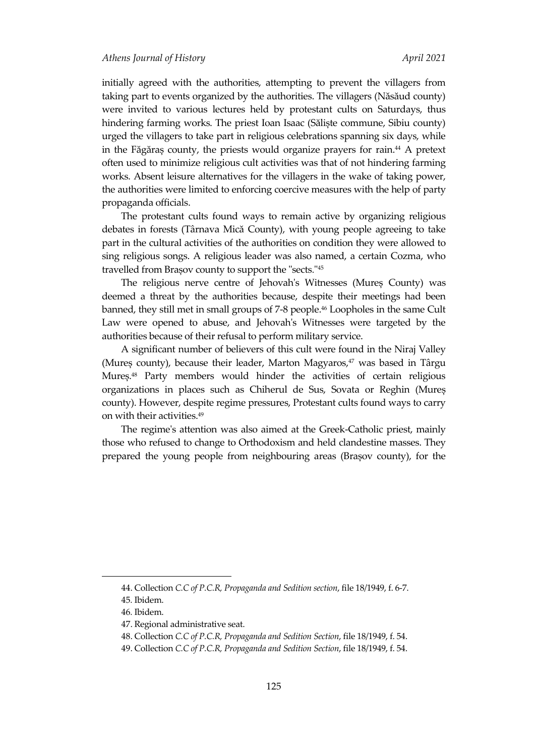initially agreed with the authorities, attempting to prevent the villagers from taking part to events organized by the authorities. The villagers (Năsăud county) were invited to various lectures held by protestant cults on Saturdays, thus hindering farming works. The priest Ioan Isaac (Săliște commune, Sibiu county) urged the villagers to take part in religious celebrations spanning six days, while in the Făgăraș county, the priests would organize prayers for rain. <sup>44</sup> A pretext often used to minimize religious cult activities was that of not hindering farming works. Absent leisure alternatives for the villagers in the wake of taking power, the authorities were limited to enforcing coercive measures with the help of party propaganda officials.

The protestant cults found ways to remain active by organizing religious debates in forests (Târnava Mică County), with young people agreeing to take part in the cultural activities of the authorities on condition they were allowed to sing religious songs. A religious leader was also named, a certain Cozma, who travelled from Brașov county to support the "sects." 45

The religious nerve centre of Jehovah's Witnesses (Mureș County) was deemed a threat by the authorities because, despite their meetings had been banned, they still met in small groups of 7-8 people. <sup>46</sup> Loopholes in the same Cult Law were opened to abuse, and Jehovah's Witnesses were targeted by the authorities because of their refusal to perform military service.

A significant number of believers of this cult were found in the Niraj Valley (Mureș county), because their leader, Marton Magyaros, <sup>47</sup> was based in Târgu Mureș. <sup>48</sup> Party members would hinder the activities of certain religious organizations in places such as Chiherul de Sus, Sovata or Reghin (Mureș county). However, despite regime pressures, Protestant cults found ways to carry on with their activities. 49

The regime's attention was also aimed at the Greek-Catholic priest, mainly those who refused to change to Orthodoxism and held clandestine masses. They prepared the young people from neighbouring areas (Brașov county), for the

<sup>44.</sup> Collection *C.C of P.C.R, Propaganda and Sedition section*, file 18/1949, f. 6-7.

<sup>45</sup>*.* Ibidem.

<sup>46</sup>*.* Ibidem.

<sup>47.</sup> Regional administrative seat.

<sup>48.</sup> Collection *C.C of P.C.R, Propaganda and Sedition Section*, file 18/1949, f. 54.

<sup>49.</sup> Collection *C.C of P.C.R, Propaganda and Sedition Section*, file 18/1949, f. 54.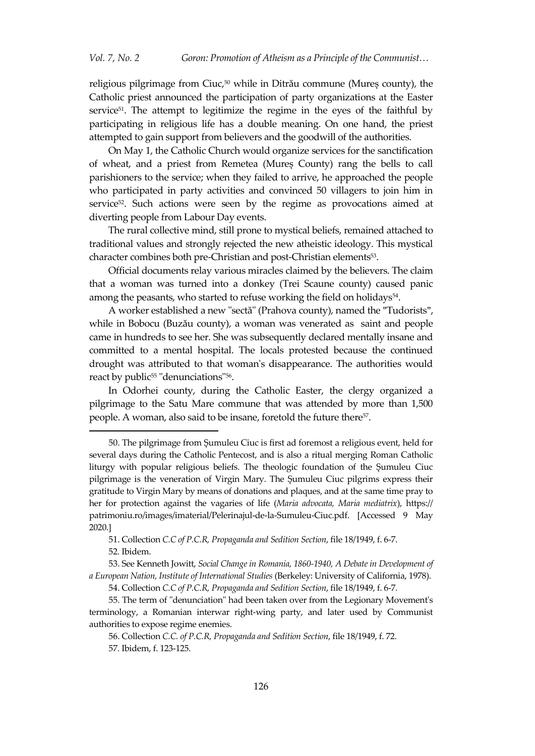religious pilgrimage from Ciuc, <sup>50</sup> while in Ditrău commune (Mureș county), the Catholic priest announced the participation of party organizations at the Easter service $51$ . The attempt to legitimize the regime in the eyes of the faithful by participating in religious life has a double meaning. On one hand, the priest attempted to gain support from believers and the goodwill of the authorities.

On May 1, the Catholic Church would organize services for the sanctification of wheat, and a priest from Remetea (Mureș County) rang the bells to call parishioners to the service; when they failed to arrive, he approached the people who participated in party activities and convinced 50 villagers to join him in service<sup>52</sup>. Such actions were seen by the regime as provocations aimed at diverting people from Labour Day events.

The rural collective mind, still prone to mystical beliefs, remained attached to traditional values and strongly rejected the new atheistic ideology. This mystical character combines both pre-Christian and post-Christian elements<sup>53</sup> .

Official documents relay various miracles claimed by the believers. The claim that a woman was turned into a donkey (Trei Scaune county) caused panic among the peasants, who started to refuse working the field on holidays<sup>54</sup>.

A worker established a new "sectă" (Prahova county), named the "Tudorists", while in Bobocu (Buzău county), a woman was venerated as saint and people came in hundreds to see her. She was subsequently declared mentally insane and committed to a mental hospital. The locals protested because the continued drought was attributed to that woman's disappearance. The authorities would react by public <sup>55</sup> "denunciations"<sup>56</sup> .

In Odorhei county, during the Catholic Easter, the clergy organized a pilgrimage to the Satu Mare commune that was attended by more than 1,500 people. A woman, also said to be insane, foretold the future there<sup>57</sup>.

<sup>50</sup>. The pilgrimage from Șumuleu Ciuc is first ad foremost a religious event, held for several days during the Catholic Pentecost, and is also a ritual merging Roman Catholic liturgy with popular religious beliefs. The theologic foundation of the Șumuleu Ciuc pilgrimage is the veneration of Virgin Mary. The Șumuleu Ciuc pilgrims express their gratitude to Virgin Mary by means of donations and plaques, and at the same time pray to her for protection against the vagaries of life (*Maria advocata, Maria mediatrix*), https:// patrimoniu.ro/images/imaterial/Pelerinajul-de-la-Sumuleu-Ciuc.pdf. [Accessed 9 May 2020.]

<sup>51.</sup> Collection *C.C of P.C.R, Propaganda and Sedition Section*, file 18/1949, f. 6-7.

<sup>52</sup>*.* Ibidem.

<sup>53.</sup> See Kenneth Jowitt, *Social Change in Romania, 1860-1940, A Debate in Development of a European Nation, Institute of International Studies* (Berkeley: University of California, 1978).

<sup>54.</sup> Collection *C.C of P.C.R, Propaganda and Sedition Section*, file 18/1949, f. 6-7.

<sup>55.</sup> The term of "denunciation" had been taken over from the Legionary Movement's terminology, a Romanian interwar right-wing party, and later used by Communist authorities to expose regime enemies.

<sup>56.</sup> Collection *C.C. of P.C.R, Propaganda and Sedition Section*, file 18/1949, f. 72. 57*.* Ibidem, f. 123-125.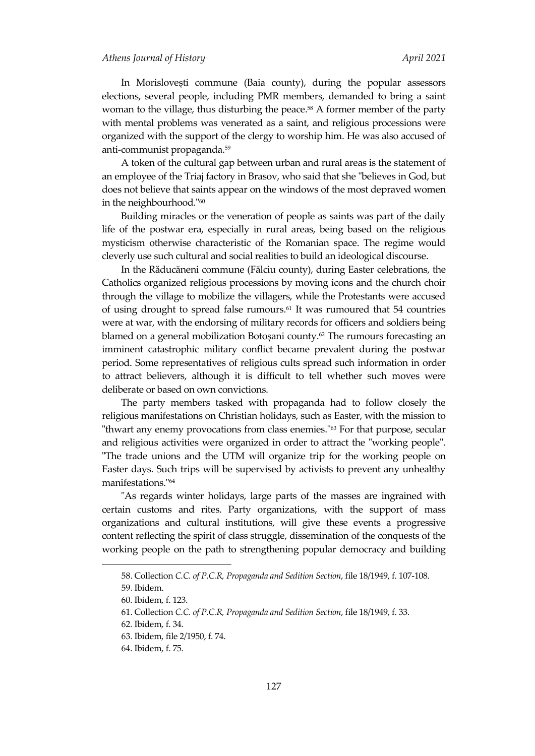In Morislovești commune (Baia county), during the popular assessors elections, several people, including PMR members, demanded to bring a saint woman to the village, thus disturbing the peace. <sup>58</sup> A former member of the party with mental problems was venerated as a saint, and religious processions were organized with the support of the clergy to worship him. He was also accused of anti-communist propaganda. 59

A token of the cultural gap between urban and rural areas is the statement of an employee of the Triaj factory in Brasov, who said that she "believes in God, but does not believe that saints appear on the windows of the most depraved women in the neighbourhood." 60

Building miracles or the veneration of people as saints was part of the daily life of the postwar era, especially in rural areas, being based on the religious mysticism otherwise characteristic of the Romanian space. The regime would cleverly use such cultural and social realities to build an ideological discourse.

In the Răducăneni commune (Fălciu county), during Easter celebrations, the Catholics organized religious processions by moving icons and the church choir through the village to mobilize the villagers, while the Protestants were accused of using drought to spread false rumours. <sup>61</sup> It was rumoured that 54 countries were at war, with the endorsing of military records for officers and soldiers being blamed on a general mobilization Botoșani county. <sup>62</sup> The rumours forecasting an imminent catastrophic military conflict became prevalent during the postwar period. Some representatives of religious cults spread such information in order to attract believers, although it is difficult to tell whether such moves were deliberate or based on own convictions.

The party members tasked with propaganda had to follow closely the religious manifestations on Christian holidays, such as Easter, with the mission to "thwart any enemy provocations from class enemies." <sup>63</sup> For that purpose, secular and religious activities were organized in order to attract the "working people". "The trade unions and the UTM will organize trip for the working people on Easter days. Such trips will be supervised by activists to prevent any unhealthy manifestations." 64

"As regards winter holidays, large parts of the masses are ingrained with certain customs and rites. Party organizations, with the support of mass organizations and cultural institutions, will give these events a progressive content reflecting the spirit of class struggle, dissemination of the conquests of the working people on the path to strengthening popular democracy and building

<sup>58.</sup> Collection *C.C. of P.C.R, Propaganda and Sedition Section*, file 18/1949, f. 107-108.

<sup>59</sup>*.* Ibidem.

<sup>60</sup>*.* Ibidem, f. 123.

<sup>61.</sup> Collection *C.C. of P.C.R, Propaganda and Sedition Section*, file 18/1949, f. 33.

<sup>62</sup>*.* Ibidem, f. 34.

<sup>63</sup>*.* Ibidem, file 2/1950, f. 74.

<sup>64</sup>*.* Ibidem, f. 75.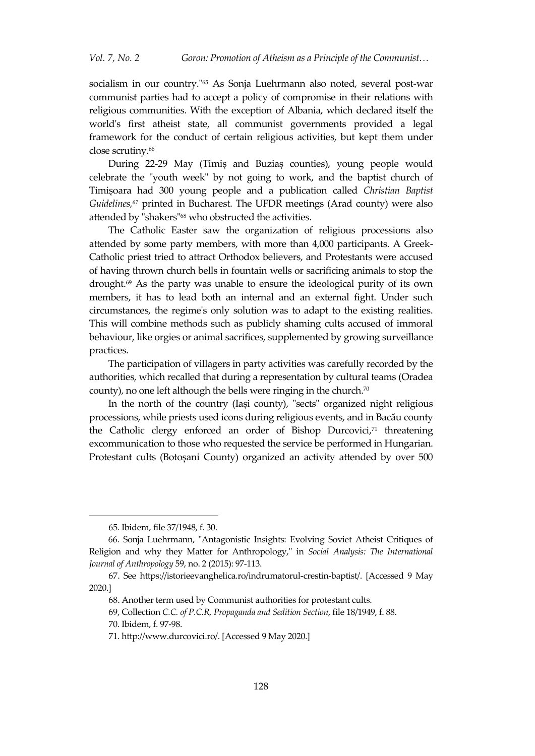socialism in our country." <sup>65</sup> As Sonja Luehrmann also noted, several post-war communist parties had to accept a policy of compromise in their relations with religious communities. With the exception of Albania, which declared itself the world's first atheist state, all communist governments provided a legal framework for the conduct of certain religious activities, but kept them under close scrutiny. 66

During 22-29 May (Timiș and Buziaș counties), young people would celebrate the "youth week" by not going to work, and the baptist church of Timișoara had 300 young people and a publication called *Christian Baptist Guidelines, <sup>67</sup>* printed in Bucharest. The UFDR meetings (Arad county) were also attended by "shakers"<sup>68</sup> who obstructed the activities.

The Catholic Easter saw the organization of religious processions also attended by some party members, with more than 4,000 participants. A Greek-Catholic priest tried to attract Orthodox believers, and Protestants were accused of having thrown church bells in fountain wells or sacrificing animals to stop the drought. <sup>69</sup> As the party was unable to ensure the ideological purity of its own members, it has to lead both an internal and an external fight. Under such circumstances, the regime's only solution was to adapt to the existing realities. This will combine methods such as publicly shaming cults accused of immoral behaviour, like orgies or animal sacrifices, supplemented by growing surveillance practices.

The participation of villagers in party activities was carefully recorded by the authorities, which recalled that during a representation by cultural teams (Oradea county), no one left although the bells were ringing in the church.<sup>70</sup>

In the north of the country (Iași county), "sects" organized night religious processions, while priests used icons during religious events, and in Bacău county the Catholic clergy enforced an order of Bishop Durcovici, <sup>71</sup> threatening excommunication to those who requested the service be performed in Hungarian. Protestant cults (Botoșani County) organized an activity attended by over 500

<sup>65</sup>*.* Ibidem, file 37/1948, f. 30.

<sup>66.</sup> Sonja Luehrmann, "Antagonistic Insights: Evolving Soviet Atheist Critiques of Religion and why they Matter for Anthropology," in *Social Analysis: The International Journal of Anthropology* 59, no. 2 (2015): 97-113.

<sup>67.</sup> See [https://istorieevanghelica.ro/indrumatorul-crestin-baptist/.](https://istorieevanghelica.ro/indrumatorul-crestin-baptist/) [Accessed 9 May 2020.]

<sup>68.</sup> Another term used by Communist authorities for protestant cults.

<sup>69,</sup> Collection *C.C. of P.C.R, Propaganda and Sedition Section*, file 18/1949, f. 88.

<sup>70</sup>*.* Ibidem, f. 97-98.

<sup>71</sup>*.* http://www.durcovici.ro/. [Accessed 9 May 2020.]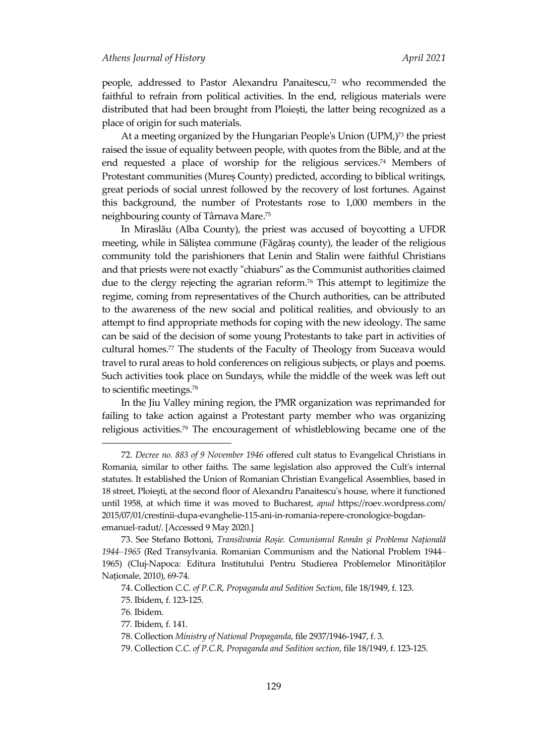people, addressed to Pastor Alexandru Panaitescu, <sup>72</sup> who recommended the faithful to refrain from political activities. In the end, religious materials were distributed that had been brought from Ploiești, the latter being recognized as a place of origin for such materials.

At a meeting organized by the Hungarian People's Union (UPM,) <sup>73</sup> the priest raised the issue of equality between people, with quotes from the Bible, and at the end requested a place of worship for the religious services. <sup>74</sup> Members of Protestant communities (Mureș County) predicted, according to biblical writings, great periods of social unrest followed by the recovery of lost fortunes. Against this background, the number of Protestants rose to 1,000 members in the neighbouring county of Târnava Mare. 75

In Miraslău (Alba County), the priest was accused of boycotting a UFDR meeting, while in Săliștea commune (Făgăraș county), the leader of the religious community told the parishioners that Lenin and Stalin were faithful Christians and that priests were not exactly "chiaburs" as the Communist authorities claimed due to the clergy rejecting the agrarian reform. <sup>76</sup> This attempt to legitimize the regime, coming from representatives of the Church authorities, can be attributed to the awareness of the new social and political realities, and obviously to an attempt to find appropriate methods for coping with the new ideology. The same can be said of the decision of some young Protestants to take part in activities of cultural homes. <sup>77</sup> The students of the Faculty of Theology from Suceava would travel to rural areas to hold conferences on religious subjects, or plays and poems. Such activities took place on Sundays, while the middle of the week was left out to scientific meetings. 78

In the Jiu Valley mining region, the PMR organization was reprimanded for failing to take action against a Protestant party member who was organizing religious activities. <sup>79</sup> The encouragement of whistleblowing became one of the

<sup>72</sup>*. Decree no. 883 of 9 November 1946* offered cult status to Evangelical Christians in Romania, similar to other faiths. The same legislation also approved the Cult's internal statutes. It established the Union of Romanian Christian Evangelical Assemblies, based in 18 street, Ploieşti, at the second floor of Alexandru Panaitescu's house, where it functioned until 1958, at which time it was moved to Bucharest, *apud* https://roev.wordpress.com/ 2015/07/01/crestinii-dupa-evanghelie-115-ani-in-romania-repere-cronologice-bogdanemanuel-radut/. [Accessed 9 May 2020.]

<sup>73.</sup> See Stefano Bottoni, *Transilvania Roșie. Comunismul Român şi Problema Națională 1944–1965* (Red Transylvania. Romanian Communism and the National Problem 1944– 1965) (Cluj-Napoca: Editura Institutului Pentru Studierea Problemelor Minorităților Naționale, 2010), 69-74.

<sup>74.</sup> Collection *C.C. of P.C.R, Propaganda and Sedition Section*, file 18/1949, f. 123.

<sup>75</sup>*.* Ibidem, f. 123-125.

<sup>76</sup>*.* Ibidem.

<sup>77</sup>*.* Ibidem, f. 141.

<sup>78.</sup> Collection *Ministry of National Propaganda*, file 2937/1946-1947, f. 3.

<sup>79.</sup> Collection *C.C. of P.C.R, Propaganda and Sedition section*, file 18/1949, f. 123-125.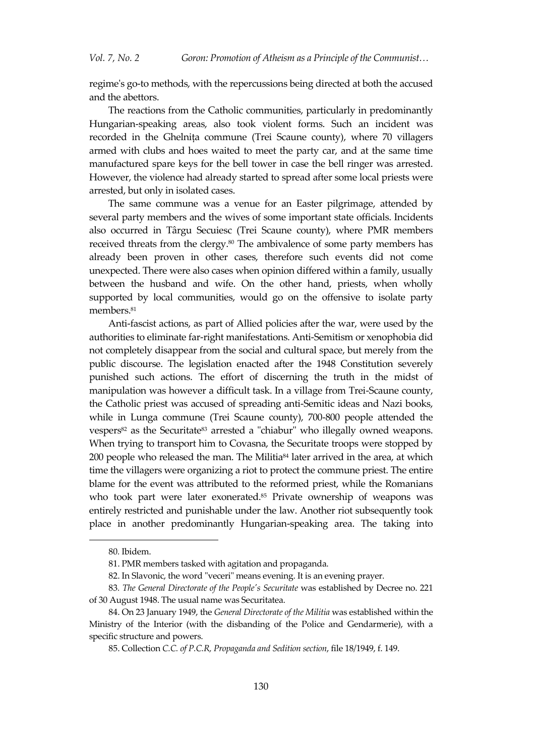regime's go-to methods, with the repercussions being directed at both the accused and the abettors.

The reactions from the Catholic communities, particularly in predominantly Hungarian-speaking areas, also took violent forms. Such an incident was recorded in the Ghelnița commune (Trei Scaune county), where 70 villagers armed with clubs and hoes waited to meet the party car, and at the same time manufactured spare keys for the bell tower in case the bell ringer was arrested. However, the violence had already started to spread after some local priests were arrested, but only in isolated cases.

The same commune was a venue for an Easter pilgrimage, attended by several party members and the wives of some important state officials. Incidents also occurred in Târgu Secuiesc (Trei Scaune county), where PMR members received threats from the clergy. <sup>80</sup> The ambivalence of some party members has already been proven in other cases, therefore such events did not come unexpected. There were also cases when opinion differed within a family, usually between the husband and wife. On the other hand, priests, when wholly supported by local communities, would go on the offensive to isolate party members. 81

Anti-fascist actions, as part of Allied policies after the war, were used by the authorities to eliminate far-right manifestations. Anti-Semitism or xenophobia did not completely disappear from the social and cultural space, but merely from the public discourse. The legislation enacted after the 1948 Constitution severely punished such actions. The effort of discerning the truth in the midst of manipulation was however a difficult task. In a village from Trei-Scaune county, the Catholic priest was accused of spreading anti-Semitic ideas and Nazi books, while in Lunga commune (Trei Scaune county), 700-800 people attended the vespers<sup>82</sup> as the Securitate<sup>83</sup> arrested a "chiabur" who illegally owned weapons. When trying to transport him to Covasna, the Securitate troops were stopped by 200 people who released the man. The Militia<sup>84</sup> later arrived in the area, at which time the villagers were organizing a riot to protect the commune priest. The entire blame for the event was attributed to the reformed priest, while the Romanians who took part were later exonerated. <sup>85</sup> Private ownership of weapons was entirely restricted and punishable under the law. Another riot subsequently took place in another predominantly Hungarian-speaking area. The taking into

<sup>80</sup>*.* Ibidem.

<sup>81.</sup> PMR members tasked with agitation and propaganda.

<sup>82.</sup> In Slavonic, the word "veceri" means evening. It is an evening prayer.

<sup>83</sup>*. The General Directorate of the People's Securitate* was established by Decree no. 221 of 30 August 1948. The usual name was Securitatea.

<sup>84.</sup> On 23 January 1949, the *General Directorate of the Militia* was established within the Ministry of the Interior (with the disbanding of the Police and Gendarmerie), with a specific structure and powers.

<sup>85.</sup> Collection *C.C. of P.C.R, Propaganda and Sedition section*, file 18/1949, f. 149.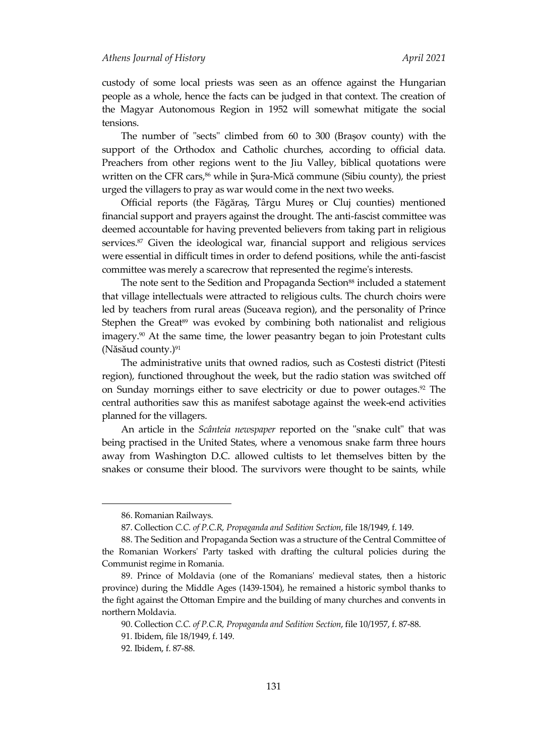custody of some local priests was seen as an offence against the Hungarian people as a whole, hence the facts can be judged in that context. The creation of the Magyar Autonomous Region in 1952 will somewhat mitigate the social tensions.

The number of "sects" climbed from 60 to 300 (Brașov county) with the support of the Orthodox and Catholic churches, according to official data. Preachers from other regions went to the Jiu Valley, biblical quotations were written on the CFR cars, <sup>86</sup> while in Șura-Mică commune (Sibiu county), the priest urged the villagers to pray as war would come in the next two weeks.

Official reports (the Făgăraș, Târgu Mureș or Cluj counties) mentioned financial support and prayers against the drought. The anti-fascist committee was deemed accountable for having prevented believers from taking part in religious services. <sup>87</sup> Given the ideological war, financial support and religious services were essential in difficult times in order to defend positions, while the anti-fascist committee was merely a scarecrow that represented the regime's interests.

The note sent to the Sedition and Propaganda Section<sup>88</sup> included a statement that village intellectuals were attracted to religious cults. The church choirs were led by teachers from rural areas (Suceava region), and the personality of Prince Stephen the Great<sup>89</sup> was evoked by combining both nationalist and religious imagery. <sup>90</sup> At the same time, the lower peasantry began to join Protestant cults (Năsăud county.) 91

The administrative units that owned radios, such as Costesti district (Pitesti region), functioned throughout the week, but the radio station was switched off on Sunday mornings either to save electricity or due to power outages. <sup>92</sup> The central authorities saw this as manifest sabotage against the week-end activities planned for the villagers.

An article in the *Scânteia newspaper* reported on the "snake cult" that was being practised in the United States, where a venomous snake farm three hours away from Washington D.C. allowed cultists to let themselves bitten by the snakes or consume their blood. The survivors were thought to be saints, while

<sup>86.</sup> Romanian Railways.

<sup>87.</sup> Collection *C.C. of P.C.R, Propaganda and Sedition Section*, file 18/1949, f. 149.

<sup>88.</sup> The Sedition and Propaganda Section was a structure of the Central Committee of the Romanian Workers' Party tasked with drafting the cultural policies during the Communist regime in Romania.

<sup>89.</sup> Prince of Moldavia (one of the Romanians' medieval states, then a historic province) during the Middle Ages (1439-1504), he remained a historic symbol thanks to the fight against the Ottoman Empire and the building of many churches and convents in northern Moldavia.

<sup>90.</sup> Collection *C.C. of P.C.R, Propaganda and Sedition Section*, file 10/1957, f. 87-88.

<sup>91</sup>*.* Ibidem, file 18/1949, f. 149.

<sup>92</sup>*.* Ibidem, f. 87-88.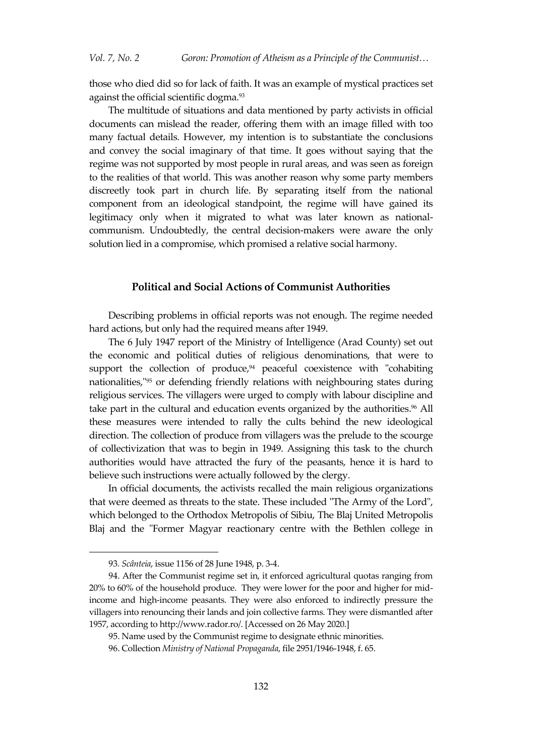those who died did so for lack of faith. It was an example of mystical practices set against the official scientific dogma. 93

The multitude of situations and data mentioned by party activists in official documents can mislead the reader, offering them with an image filled with too many factual details. However, my intention is to substantiate the conclusions and convey the social imaginary of that time. It goes without saying that the regime was not supported by most people in rural areas, and was seen as foreign to the realities of that world. This was another reason why some party members discreetly took part in church life. By separating itself from the national component from an ideological standpoint, the regime will have gained its legitimacy only when it migrated to what was later known as nationalcommunism. Undoubtedly, the central decision-makers were aware the only solution lied in a compromise, which promised a relative social harmony.

#### **Political and Social Actions of Communist Authorities**

Describing problems in official reports was not enough. The regime needed hard actions, but only had the required means after 1949.

The 6 July 1947 report of the Ministry of Intelligence (Arad County) set out the economic and political duties of religious denominations, that were to support the collection of produce, <sup>94</sup> peaceful coexistence with "cohabiting nationalities," <sup>95</sup> or defending friendly relations with neighbouring states during religious services. The villagers were urged to comply with labour discipline and take part in the cultural and education events organized by the authorities. <sup>96</sup> All these measures were intended to rally the cults behind the new ideological direction. The collection of produce from villagers was the prelude to the scourge of collectivization that was to begin in 1949. Assigning this task to the church authorities would have attracted the fury of the peasants, hence it is hard to believe such instructions were actually followed by the clergy.

In official documents, the activists recalled the main religious organizations that were deemed as threats to the state. These included "The Army of the Lord", which belonged to the Orthodox Metropolis of Sibiu, The Blaj United Metropolis Blaj and the "Former Magyar reactionary centre with the Bethlen college in

<sup>93</sup>*. Scânteia*, issue 1156 of 28 June 1948, p. 3-4.

<sup>94.</sup> After the Communist regime set in, it enforced agricultural quotas ranging from 20% to 60% of the household produce. They were lower for the poor and higher for midincome and high-income peasants. They were also enforced to indirectly pressure the villagers into renouncing their lands and join collective farms. They were dismantled after 1957, according to [http://www.rador.ro/.](http://www.rador.ro/) [Accessed on 26 May 2020.]

<sup>95.</sup> Name used by the Communist regime to designate ethnic minorities.

<sup>96.</sup> Collection *Ministry of National Propaganda*, file 2951/1946-1948, f. 65.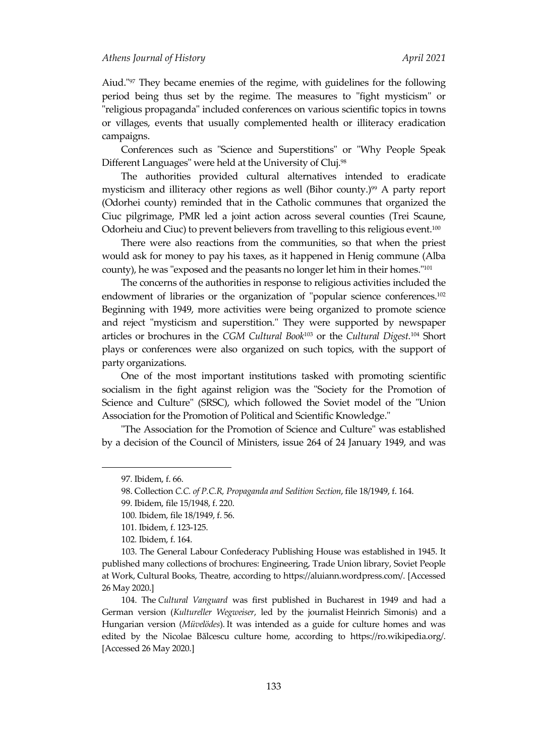Aiud." <sup>97</sup> They became enemies of the regime, with guidelines for the following period being thus set by the regime. The measures to "fight mysticism" or "religious propaganda" included conferences on various scientific topics in towns or villages, events that usually complemented health or illiteracy eradication campaigns.

Conferences such as "Science and Superstitions" or "Why People Speak Different Languages" were held at the University of Cluj. 98

The authorities provided cultural alternatives intended to eradicate mysticism and illiteracy other regions as well (Bihor county.) <sup>99</sup> A party report (Odorhei county) reminded that in the Catholic communes that organized the Ciuc pilgrimage, PMR led a joint action across several counties (Trei Scaune, Odorheiu and Ciuc) to prevent believers from travelling to this religious event. $^{\scriptscriptstyle 100}$ 

There were also reactions from the communities, so that when the priest would ask for money to pay his taxes, as it happened in Henig commune (Alba county), he was "exposed and the peasants no longer let him in their homes." 101

The concerns of the authorities in response to religious activities included the endowment of libraries or the organization of "popular science conferences. 102 Beginning with 1949, more activities were being organized to promote science and reject "mysticism and superstition." They were supported by newspaper articles or brochures in the *CGM Cultural Book*<sup>103</sup> or the *Cultural Digest.* <sup>104</sup> Short plays or conferences were also organized on such topics, with the support of party organizations.

One of the most important institutions tasked with promoting scientific socialism in the fight against religion was the "Society for the Promotion of Science and Culture" (SRSC), which followed the Soviet model of the "Union Association for the Promotion of Political and Scientific Knowledge."

"The Association for the Promotion of Science and Culture" was established by a decision of the Council of Ministers, issue 264 of 24 January 1949, and was

<sup>97</sup>*.* Ibidem, f. 66.

<sup>98.</sup> Collection *C.C. of P.C.R, Propaganda and Sedition Section*, file 18/1949, f. 164.

<sup>99</sup>*.* Ibidem, file 15/1948, f. 220.

<sup>100</sup>*.* Ibidem, file 18/1949, f. 56.

<sup>101</sup>*.* Ibidem, f. 123-125.

<sup>102</sup>*.* Ibidem, f. 164.

<sup>103.</sup> The General Labour Confederacy Publishing House was established in 1945. It published many collections of brochures: Engineering, Trade Union library, Soviet People at Work, Cultural Books, Theatre, according to [https://aluiann.wordpress.com/.](https://aluiann.wordpress.com/) [Accessed 26 May 2020.]

<sup>104.</sup> The *Cultural Vanguard* was first published in Bucharest in 1949 and had a German version (*Kultureller Wegweiser*, led by the journalist [Heinrich Simonis\)](https://ro.wikipedia.org/wiki/Heinrich_Simonis) and a Hungarian version (*Müvelödes*). It was intended as a guide for culture homes and was edited by the Nicolae Bălcescu culture home, according to [https://ro.wikipedia.org/.](https://ro.wikipedia.org/) [Accessed 26 May 2020.]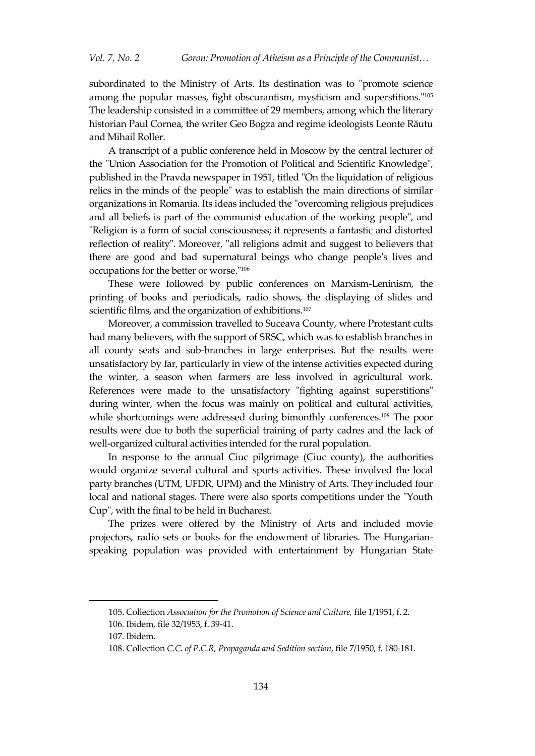subordinated to the Ministry of Arts. Its destination was to "promote science among the popular masses, fight obscurantism, mysticism and superstitions." 105 The leadership consisted in a committee of 29 members, among which the literary historian Paul Cornea, the writer Geo Bogza and regime ideologists Leonte Răutu and Mihail Roller.

A transcript of a public conference held in Moscow by the central lecturer of the "Union Association for the Promotion of Political and Scientific Knowledge", published in the Pravda newspaper in 1951, titled "On the liquidation of religious relics in the minds of the people" was to establish the main directions of similar organizations in Romania. Its ideas included the "overcoming religious prejudices and all beliefs is part of the communist education of the working people", and "Religion is a form of social consciousness; it represents a fantastic and distorted reflection of reality". Moreover, "all religions admit and suggest to believers that there are good and bad supernatural beings who change people's lives and occupations for the better or worse." 106

These were followed by public conferences on Marxism-Leninism, the printing of books and periodicals, radio shows, the displaying of slides and scientific films, and the organization of exhibitions. 107

Moreover, a commission travelled to Suceava County, where Protestant cults had many believers, with the support of SRSC, which was to establish branches in all county seats and sub-branches in large enterprises. But the results were unsatisfactory by far, particularly in view of the intense activities expected during the winter, a season when farmers are less involved in agricultural work. References were made to the unsatisfactory "fighting against superstitions" during winter, when the focus was mainly on political and cultural activities, while shortcomings were addressed during bimonthly conferences. <sup>108</sup> The poor results were due to both the superficial training of party cadres and the lack of well-organized cultural activities intended for the rural population.

In response to the annual Ciuc pilgrimage (Ciuc county), the authorities would organize several cultural and sports activities. These involved the local party branches (UTM, UFDR, UPM) and the Ministry of Arts. They included four local and national stages. There were also sports competitions under the "Youth Cup", with the final to be held in Bucharest.

The prizes were offered by the Ministry of Arts and included movie projectors, radio sets or books for the endowment of libraries. The Hungarianspeaking population was provided with entertainment by Hungarian State

<sup>105.</sup> Collection *Association for the Promotion of Science and Culture,* file 1/1951, f. 2.

<sup>106</sup>*.* Ibidem, file 32/1953, f. 39-41.

<sup>107</sup>*.* Ibidem.

<sup>108.</sup> Collection *C.C. of P.C.R, Propaganda and Sedition section*, file 7/1950, f. 180-181.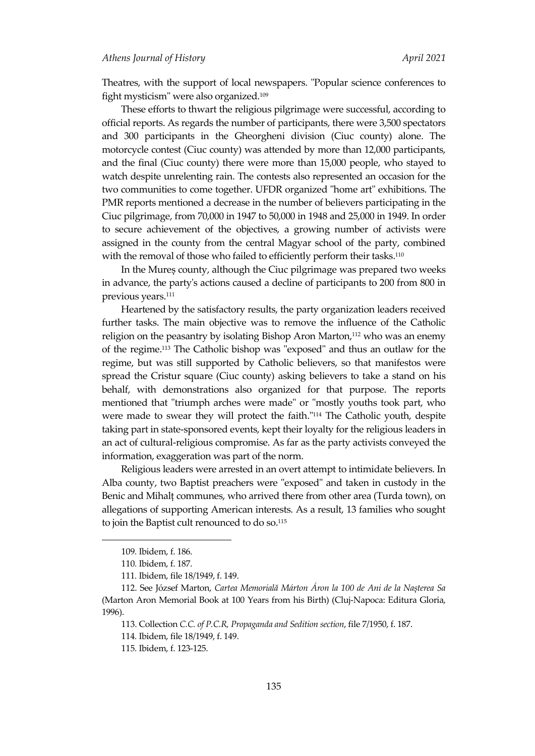Theatres, with the support of local newspapers. "Popular science conferences to fight mysticism" were also organized. 109

These efforts to thwart the religious pilgrimage were successful, according to official reports. As regards the number of participants, there were 3,500 spectators and 300 participants in the Gheorgheni division (Ciuc county) alone. The motorcycle contest (Ciuc county) was attended by more than 12,000 participants, and the final (Ciuc county) there were more than 15,000 people, who stayed to watch despite unrelenting rain. The contests also represented an occasion for the two communities to come together. UFDR organized "home art" exhibitions. The PMR reports mentioned a decrease in the number of believers participating in the Ciuc pilgrimage, from 70,000 in 1947 to 50,000 in 1948 and 25,000 in 1949. In order to secure achievement of the objectives, a growing number of activists were assigned in the county from the central Magyar school of the party, combined with the removal of those who failed to efficiently perform their tasks. 110

In the Mureș county, although the Ciuc pilgrimage was prepared two weeks in advance, the party's actions caused a decline of participants to 200 from 800 in previous years. 111

Heartened by the satisfactory results, the party organization leaders received further tasks. The main objective was to remove the influence of the Catholic religion on the peasantry by isolating Bishop Aron Marton, <sup>112</sup> who was an enemy of the regime. <sup>113</sup> The Catholic bishop was "exposed" and thus an outlaw for the regime, but was still supported by Catholic believers, so that manifestos were spread the Cristur square (Ciuc county) asking believers to take a stand on his behalf, with demonstrations also organized for that purpose. The reports mentioned that "triumph arches were made" or "mostly youths took part, who were made to swear they will protect the faith." <sup>114</sup> The Catholic youth, despite taking part in state-sponsored events, kept their loyalty for the religious leaders in an act of cultural-religious compromise. As far as the party activists conveyed the information, exaggeration was part of the norm.

Religious leaders were arrested in an overt attempt to intimidate believers. In Alba county, two Baptist preachers were "exposed" and taken in custody in the Benic and Mihalț communes, who arrived there from other area (Turda town), on allegations of supporting American interests. As a result, 13 families who sought to join the Baptist cult renounced to do so. 115

<sup>109</sup>*.* Ibidem, f. 186.

<sup>110</sup>*.* Ibidem, f. 187.

<sup>111</sup>*.* Ibidem, file 18/1949, f. 149.

<sup>112.</sup> See József Marton, *Cartea Memorială Márton Áron la 100 de Ani de la Nașterea Sa*  (Marton Aron Memorial Book at 100 Years from his Birth) (Cluj-Napoca: Editura Gloria, 1996).

<sup>113.</sup> Collection *C.C. of P.C.R, Propaganda and Sedition section*, file 7/1950, f. 187.

<sup>114</sup>*.* Ibidem, file 18/1949, f. 149.

<sup>115</sup>*.* Ibidem, f. 123-125.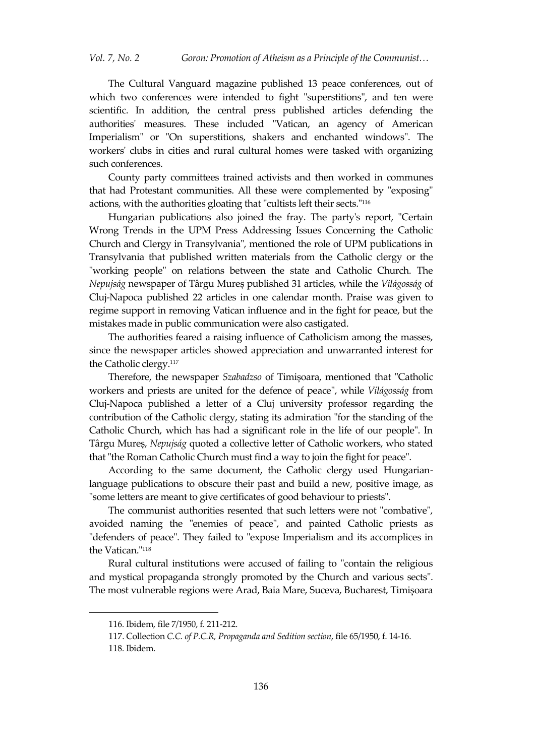The Cultural Vanguard magazine published 13 peace conferences, out of which two conferences were intended to fight "superstitions", and ten were scientific. In addition, the central press published articles defending the authorities' measures. These included "Vatican, an agency of American Imperialism" or "On superstitions, shakers and enchanted windows". The workers' clubs in cities and rural cultural homes were tasked with organizing such conferences.

County party committees trained activists and then worked in communes that had Protestant communities. All these were complemented by "exposing" actions, with the authorities gloating that "cultists left their sects." 116

Hungarian publications also joined the fray. The party's report, "Certain Wrong Trends in the UPM Press Addressing Issues Concerning the Catholic Church and Clergy in Transylvania", mentioned the role of UPM publications in Transylvania that published written materials from the Catholic clergy or the "working people" on relations between the state and Catholic Church. The *Nepujság* newspaper of Târgu Mureș published 31 articles, while the *Világosság* of Cluj-Napoca published 22 articles in one calendar month. Praise was given to regime support in removing Vatican influence and in the fight for peace, but the mistakes made in public communication were also castigated.

The authorities feared a raising influence of Catholicism among the masses, since the newspaper articles showed appreciation and unwarranted interest for the Catholic clergy. 117

Therefore, the newspaper *Szabadzso* of Timișoara, mentioned that "Catholic workers and priests are united for the defence of peace", while *Világosság* from Cluj-Napoca published a letter of a Cluj university professor regarding the contribution of the Catholic clergy, stating its admiration "for the standing of the Catholic Church, which has had a significant role in the life of our people". In Târgu Mureș, *Nepujság* quoted a collective letter of Catholic workers, who stated that "the Roman Catholic Church must find a way to join the fight for peace".

According to the same document, the Catholic clergy used Hungarianlanguage publications to obscure their past and build a new, positive image, as "some letters are meant to give certificates of good behaviour to priests".

The communist authorities resented that such letters were not "combative", avoided naming the "enemies of peace", and painted Catholic priests as "defenders of peace". They failed to "expose Imperialism and its accomplices in the Vatican." 118

Rural cultural institutions were accused of failing to "contain the religious and mystical propaganda strongly promoted by the Church and various sects". The most vulnerable regions were Arad, Baia Mare, Suceva, Bucharest, Timișoara

<sup>116</sup>*.* Ibidem, file 7/1950, f. 211-212.

<sup>117.</sup> Collection *C.C. of P.C.R, Propaganda and Sedition section*, file 65/1950, f. 14-16.

<sup>118</sup>*.* Ibidem.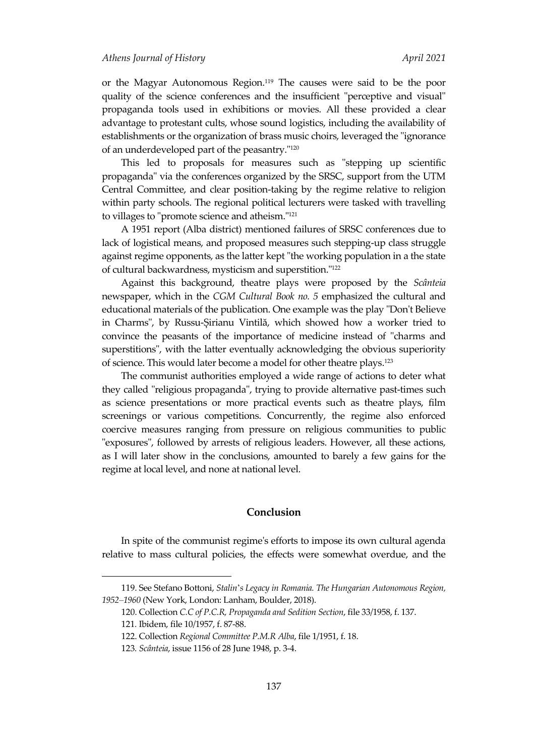or the Magyar Autonomous Region. <sup>119</sup> The causes were said to be the poor quality of the science conferences and the insufficient "perceptive and visual" propaganda tools used in exhibitions or movies. All these provided a clear advantage to protestant cults, whose sound logistics, including the availability of establishments or the organization of brass music choirs, leveraged the "ignorance of an underdeveloped part of the peasantry." 120

This led to proposals for measures such as "stepping up scientific propaganda" via the conferences organized by the SRSC, support from the UTM Central Committee, and clear position-taking by the regime relative to religion within party schools. The regional political lecturers were tasked with travelling to villages to "promote science and atheism." 121

A 1951 report (Alba district) mentioned failures of SRSC conferences due to lack of logistical means, and proposed measures such stepping-up class struggle against regime opponents, as the latter kept "the working population in a the state of cultural backwardness, mysticism and superstition." 122

Against this background, theatre plays were proposed by the *Scânteia* newspaper, which in the *CGM Cultural Book no. 5* emphasized the cultural and educational materials of the publication. One example was the play "Don't Believe in Charms", by Russu-Șirianu Vintilă, which showed how a worker tried to convince the peasants of the importance of medicine instead of "charms and superstitions", with the latter eventually acknowledging the obvious superiority of science. This would later become a model for other theatre plays. 123

The communist authorities employed a wide range of actions to deter what they called "religious propaganda", trying to provide alternative past-times such as science presentations or more practical events such as theatre plays, film screenings or various competitions. Concurrently, the regime also enforced coercive measures ranging from pressure on religious communities to public "exposures", followed by arrests of religious leaders. However, all these actions, as I will later show in the conclusions, amounted to barely a few gains for the regime at local level, and none at national level.

#### **Conclusion**

In spite of the communist regime's efforts to impose its own cultural agenda relative to mass cultural policies, the effects were somewhat overdue, and the

<sup>119.</sup> See Stefano Bottoni, *Stalin*'*s Legacy in Romania. The Hungarian Autonomous Region, 1952–1960* (New York, London: Lanham, Boulder, 2018).

<sup>120.</sup> Collection *C.C of P.C.R, Propaganda and Sedition Section*, file 33/1958, f. 137.

<sup>121</sup>*.* Ibidem, file 10/1957, f. 87-88.

<sup>122.</sup> Collection *Regional Committee P.M.R Alba*, file 1/1951, f. 18.

<sup>123</sup>*. Scânteia*, issue 1156 of 28 June 1948, p. 3-4.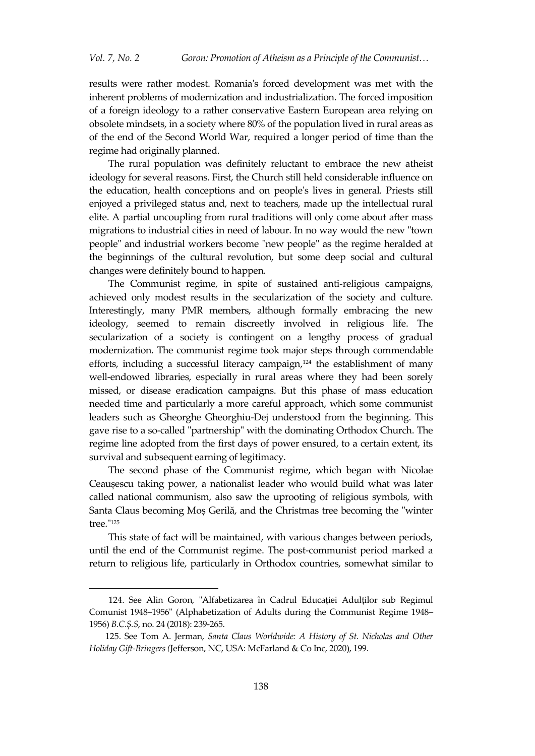results were rather modest. Romania's forced development was met with the inherent problems of modernization and industrialization. The forced imposition of a foreign ideology to a rather conservative Eastern European area relying on obsolete mindsets, in a society where 80% of the population lived in rural areas as of the end of the Second World War, required a longer period of time than the regime had originally planned.

The rural population was definitely reluctant to embrace the new atheist ideology for several reasons. First, the Church still held considerable influence on the education, health conceptions and on people's lives in general. Priests still enjoyed a privileged status and, next to teachers, made up the intellectual rural elite. A partial uncoupling from rural traditions will only come about after mass migrations to industrial cities in need of labour. In no way would the new "town people" and industrial workers become "new people" as the regime heralded at the beginnings of the cultural revolution, but some deep social and cultural changes were definitely bound to happen.

The Communist regime, in spite of sustained anti-religious campaigns, achieved only modest results in the secularization of the society and culture. Interestingly, many PMR members, although formally embracing the new ideology, seemed to remain discreetly involved in religious life. The secularization of a society is contingent on a lengthy process of gradual modernization. The communist regime took major steps through commendable efforts, including a successful literacy campaign, <sup>124</sup> the establishment of many well-endowed libraries, especially in rural areas where they had been sorely missed, or disease eradication campaigns. But this phase of mass education needed time and particularly a more careful approach, which some communist leaders such as Gheorghe Gheorghiu-Dej understood from the beginning. This gave rise to a so-called "partnership" with the dominating Orthodox Church. The regime line adopted from the first days of power ensured, to a certain extent, its survival and subsequent earning of legitimacy.

The second phase of the Communist regime, which began with Nicolae Ceaușescu taking power, a nationalist leader who would build what was later called national communism, also saw the uprooting of religious symbols, with Santa Claus becoming Moș Gerilă, and the Christmas tree becoming the "winter tree." 125

This state of fact will be maintained, with various changes between periods, until the end of the Communist regime. The post-communist period marked a return to religious life, particularly in Orthodox countries, somewhat similar to

<sup>124.</sup> See Alin Goron, "Alfabetizarea în Cadrul Educației Adulților sub Regimul Comunist 1948*–*1956" (Alphabetization of Adults during the Communist Regime 1948*–* 1956) *B.C.Ș.S*, no. 24 (2018): 239-265.

<sup>125.</sup> See Tom A. Jerman, *Santa Claus Worldwide: A History of St. Nicholas and Other Holiday Gift-Bringers (*Jefferson, NC, USA: [McFarland & Co Inc,](https://www.bookdepository.com/publishers/McFarland-Co-Inc) 2020), 199.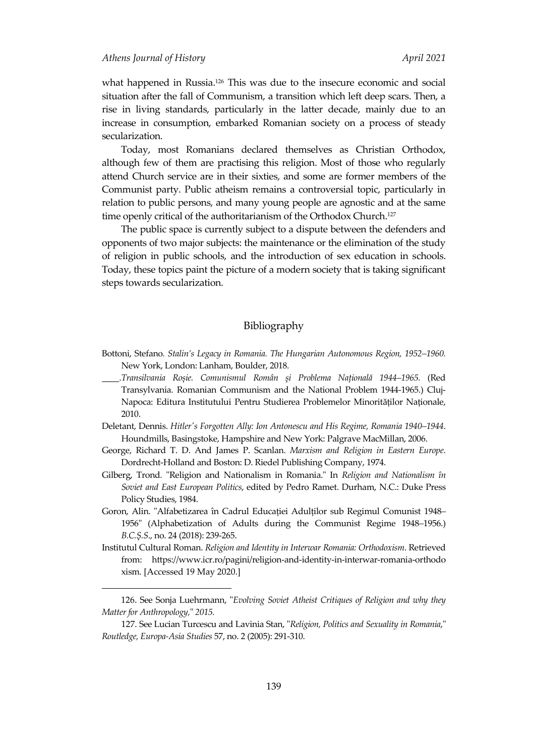$\overline{a}$ 

what happened in Russia. <sup>126</sup> This was due to the insecure economic and social situation after the fall of Communism, a transition which left deep scars. Then, a rise in living standards, particularly in the latter decade, mainly due to an increase in consumption, embarked Romanian society on a process of steady secularization.

Today, most Romanians declared themselves as Christian Orthodox, although few of them are practising this religion. Most of those who regularly attend Church service are in their sixties, and some are former members of the Communist party. Public atheism remains a controversial topic, particularly in relation to public persons, and many young people are agnostic and at the same time openly critical of the authoritarianism of the Orthodox Church.<sup>127</sup>

The public space is currently subject to a dispute between the defenders and opponents of two major subjects: the maintenance or the elimination of the study of religion in public schools, and the introduction of sex education in schools. Today, these topics paint the picture of a modern society that is taking significant steps towards secularization.

## Bibliography

- Bottoni, Stefano*. Stalin's Legacy in Romania. The Hungarian Autonomous Region, 1952–1960.*  New York, London: Lanham, Boulder, 2018.
- \_\_\_\_.*Transilvania Roșie. Comunismul Român şi Problema Națională 1944–1965.* (Red Transylvania. Romanian Communism and the National Problem 1944-1965.) Cluj-Napoca: Editura Institutului Pentru Studierea Problemelor Minorităților Naționale, 2010.
- Deletant, Dennis. *Hitler's Forgotten Ally: Ion Antonescu and His Regime, Romania 1940–1944*. Houndmills, Basingstoke, Hampshire and New York: Palgrave MacMillan, 2006.
- George, Richard T. D. And James P. Scanlan. *Marxism and Religion in Eastern Europe*. Dordrecht-Holland and Boston: D. Riedel Publishing Company, 1974.
- Gilberg, Trond*.* "Religion and Nationalism in Romania." In *Religion and Nationalism în Soviet and East European Politics*, edited by Pedro Ramet. Durham, N.C.: Duke Press Policy Studies, 1984.
- Goron, Alin. "Alfabetizarea în Cadrul Educației Adulților sub Regimul Comunist 1948*–* 1956" (Alphabetization of Adults during the Communist Regime 1948*–*1956.) *B.C.Ș.S*., no. 24 (2018): 239-265.
- Institutul Cultural Roman. *Religion and Identity in Interwar Romania: Orthodoxism*. Retrieved from: https://www.icr.ro/pagini/religion-and-identity-in-interwar-romania-orthodo xism. [Accessed 19 May 2020.]

<sup>126.</sup> See Sonja Luehrmann, "*Evolving Soviet Atheist Critiques of Religion and why they Matter for Anthropology,*" *2015.*

<sup>127.</sup> See Lucian Turcescu and Lavinia Stan, "*Religion, Politics and Sexuality in Romania*," *Routledge, Europa-Asia Studies* 57, no. 2 (2005): 291-310.